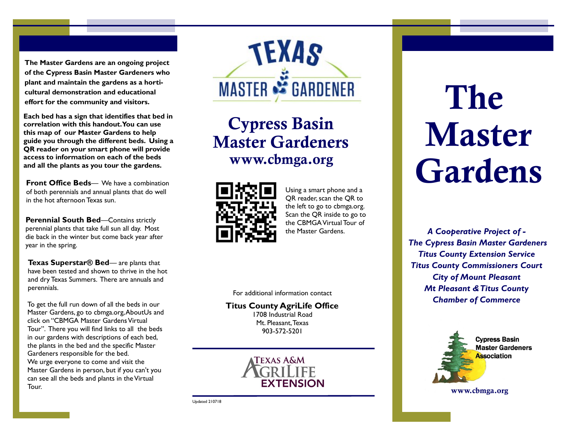**The Master Gardens are an ongoing project of the Cypress Basin Master Gardeners who plant and maintain the gardens as a horticultural demonstration and educational effort for the community and visitors.** 

**Each bed has a sign that identifies that bed in correlation with this handout. You can use this map of our Master Gardens to help guide you through the different beds. Using a QR reader on your smart phone will provide access to information on each of the beds and all the plants as you tour the gardens.**

**Front Office Beds**— We have a combination of both perennials and annual plants that do well in the hot afternoon Texas sun.

**Perennial South Bed—Contains strictly** perennial plants that take full sun all day. Most die back in the winter but come back year after year in the spring.

**Texas Superstar® Bed**— are plants that have been tested and shown to thrive in the hot and dry Texas Summers. There are annuals and perennials.

To get the full run down of all the beds in our Master Gardens, go to cbmga.org, AboutUs and click on "CBMGA Master Gardens Virtual Tour". There you will find links to all the beds in our gardens with descriptions of each bed, the plants in the bed and the specific Master Gardeners responsible for the bed. We urge everyone to come and visit the Master Gardens in person, but if you can't you can see all the beds and plants in the Virtual Tour.



Cypress Basin Master Gardeners www.cbmga.org



Using a smart phone and a QR reader, scan the QR to the left to go to cbmga.org. Scan the QR inside to go to the CBMGA Virtual Tour of the Master Gardens.

For additional information contact

**Titus County AgriLife Office**  1708 Industrial Road Mt. Pleasant, Texas 903-572-5201



Updated 210718

## The Master Gardens

*A Cooperative Project of - The Cypress Basin Master Gardeners Titus County Extension Service Titus County Commissioners Court City of Mount Pleasant Mt Pleasant & Titus County Chamber of Commerce*



www.cbmga.org